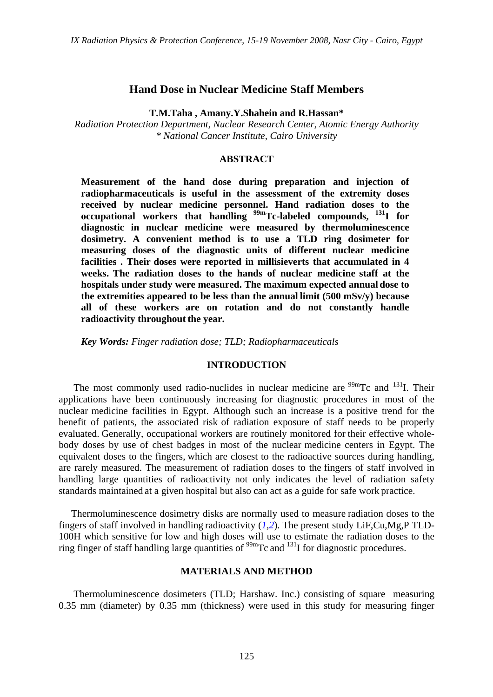### **Hand Dose in Nuclear Medicine Staff Members**

**T.M.Taha , Amany.Y.Shahein and R.Hassan\***

*Radiation Protection Department, Nuclear Research Center, Atomic Energy Authority \* National Cancer Institute, Cairo University* 

### **ABSTRACT**

**Measurement of the hand dose during preparation and injection of radiopharmaceuticals is useful in the assessment of the extremity doses received by nuclear medicine personnel. Hand radiation doses to the**  occupational workers that handling <sup>99m</sup>Tc-labeled compounds, <sup>131</sup>I for **diagnostic in nuclear medicine were measured by thermoluminescence dosimetry. A convenient method is to use a TLD ring dosimeter for measuring doses of the diagnostic units of different nuclear medicine facilities . Their doses were reported in millisieverts that accumulated in 4 weeks. The radiation doses to the hands of nuclear medicine staff at the hospitals under study were measured. The maximum expected annual dose to the extremities appeared to be less than the annual limit (500 mSv/y) because all of these workers are on rotation and do not constantly handle radioactivity throughout the year.**

*Key Words: Finger radiation dose; TLD; Radiopharmaceuticals*

#### **INTRODUCTION**

The most commonly used radio-nuclides in nuclear medicine are  $\frac{99 \text{m}}{2}$ Tc and  $\frac{131}{1}$ . Their applications have been continuously increasing for diagnostic procedures in most of the nuclear medicine facilities in Egypt. Although such an increase is a positive trend for the benefit of patients, the associated risk of radiation exposure of staff needs to be properly evaluated. Generally, occupational workers are routinely monitored for their effective wholebody doses by use of chest badges in most of the nuclear medicine centers in Egypt. The equivalent doses to the fingers, which are closest to the radioactive sources during handling, are rarely measured. The measurement of radiation doses to the fingers of staff involved in handling large quantities of radioactivity not only indicates the level of radiation safety standards maintained at a given hospital but also can act as a guide for safe work practice.

 Thermoluminescence dosimetry disks are normally used to measure radiation doses to the fingers of staff involved in handling radioactivity (*1,2*). The present study LiF,Cu,Mg,P TLD-100H which sensitive for low and high doses will use to estimate the radiation doses to the ring finger of staff handling large quantities of  $\frac{99 \text{m}}{\text{Tc}}$  and  $\frac{131}{\text{I}}$  for diagnostic procedures.

#### **MATERIALS AND METHOD**

 Thermoluminescence dosimeters (TLD; Harshaw. Inc.) consisting of square measuring 0.35 mm (diameter) by 0.35 mm (thickness) were used in this study for measuring finger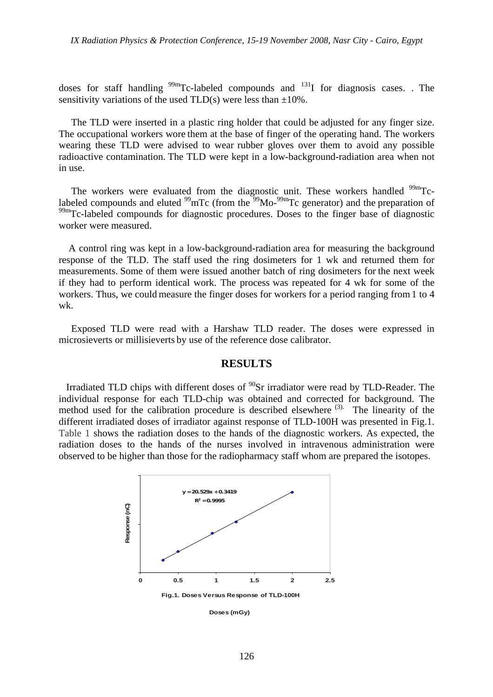doses for staff handling  $^{99m}$ Tc-labeled compounds and  $^{131}$ I for diagnosis cases. . The sensitivity variations of the used  $TLD(s)$  were less than  $\pm 10\%$ .

 The TLD were inserted in a plastic ring holder that could be adjusted for any finger size. The occupational workers wore them at the base of finger of the operating hand. The workers wearing these TLD were advised to wear rubber gloves over them to avoid any possible radioactive contamination. The TLD were kept in a low-background-radiation area when not in use.

The workers were evaluated from the diagnostic unit. These workers handled  $\frac{99 \text{m}}{2}$ Tclabeled compounds and eluted  $^{99}$ mTc (from the  $^{99}$ Mo- $^{99}$ mTc generator) and the preparation of  $99<sup>99m</sup>$ Tc-labeled compounds for diagnostic procedures. Doses to the finger base of diagnostic worker were measured.

 A control ring was kept in a low-background-radiation area for measuring the background response of the TLD. The staff used the ring dosimeters for 1 wk and returned them for measurements. Some of them were issued another batch of ring dosimeters for the next week if they had to perform identical work. The process was repeated for 4 wk for some of the workers. Thus, we could measure the finger doses for workers for a period ranging from1 to 4 wk.

 Exposed TLD were read with a Harshaw TLD reader. The doses were expressed in microsieverts or millisieverts by use of the reference dose calibrator.

#### **RESULTS**

Irradiated TLD chips with different doses of  $^{90}$ Sr irradiator were read by TLD-Reader. The individual response for each TLD-chip was obtained and corrected for background. The method used for the calibration procedure is described elsewhere  $(3)$ . The linearity of the different irradiated doses of irradiator against response of TLD-100H was presented in Fig.1. Table 1 shows the radiation doses to the hands of the diagnostic workers. As expected, the radiation doses to the hands of the nurses involved in intravenous administration were observed to be higher than those for the radiopharmacy staff whom are prepared the isotopes.



**Doses (mGy)**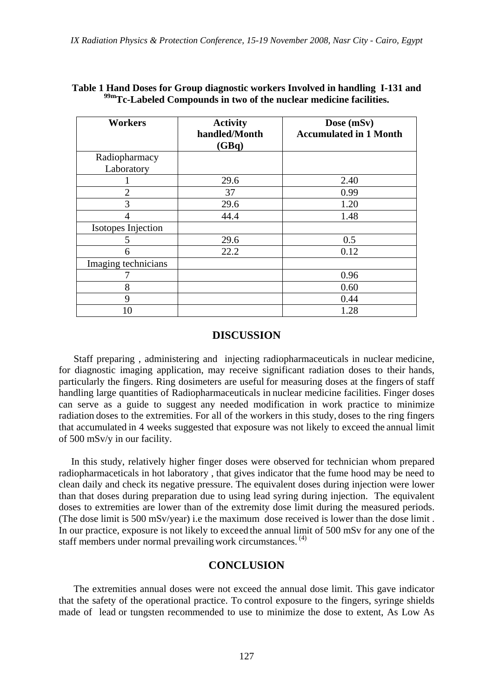| <b>Workers</b>      | <b>Activity</b><br>handled/Month<br>(GBq) | Dose (mSv)<br><b>Accumulated in 1 Month</b> |
|---------------------|-------------------------------------------|---------------------------------------------|
| Radiopharmacy       |                                           |                                             |
| Laboratory          |                                           |                                             |
|                     | 29.6                                      | 2.40                                        |
| $\overline{2}$      | 37                                        | 0.99                                        |
| 3                   | 29.6                                      | 1.20                                        |
|                     | 44.4                                      | 1.48                                        |
| Isotopes Injection  |                                           |                                             |
| 5                   | 29.6                                      | 0.5                                         |
| 6                   | 22.2                                      | 0.12                                        |
| Imaging technicians |                                           |                                             |
|                     |                                           | 0.96                                        |
| 8                   |                                           | 0.60                                        |
| 9                   |                                           | 0.44                                        |
| 10                  |                                           | 1.28                                        |

## **Table 1 Hand Doses for Group diagnostic workers Involved in handling I-131 and 99mTc-Labeled Compounds in two of the nuclear medicine facilities.**

# **DISCUSSION**

 Staff preparing , administering and injecting radiopharmaceuticals in nuclear medicine, for diagnostic imaging application, may receive significant radiation doses to their hands, particularly the fingers. Ring dosimeters are useful for measuring doses at the fingers of staff handling large quantities of Radiopharmaceuticals in nuclear medicine facilities. Finger doses can serve as a guide to suggest any needed modification in work practice to minimize radiation doses to the extremities. For all of the workers in this study, doses to the ring fingers that accumulated in 4 weeks suggested that exposure was not likely to exceed the annual limit of 500 mSv/y in our facility.

 In this study, relatively higher finger doses were observed for technician whom prepared radiopharmaceticals in hot laboratory , that gives indicator that the fume hood may be need to clean daily and check its negative pressure. The equivalent doses during injection were lower than that doses during preparation due to using lead syring during injection. The equivalent doses to extremities are lower than of the extremity dose limit during the measured periods. (The dose limit is 500 mSv/year) i.e the maximum dose received is lower than the dose limit . In our practice, exposure is not likely to exceed the annual limit of 500 mSv for any one of the staff members under normal prevailing work circumstances. (4)

# **CONCLUSION**

 The extremities annual doses were not exceed the annual dose limit. This gave indicator that the safety of the operational practice. To control exposure to the fingers, syringe shields made of lead or tungsten recommended to use to minimize the dose to extent, As Low As